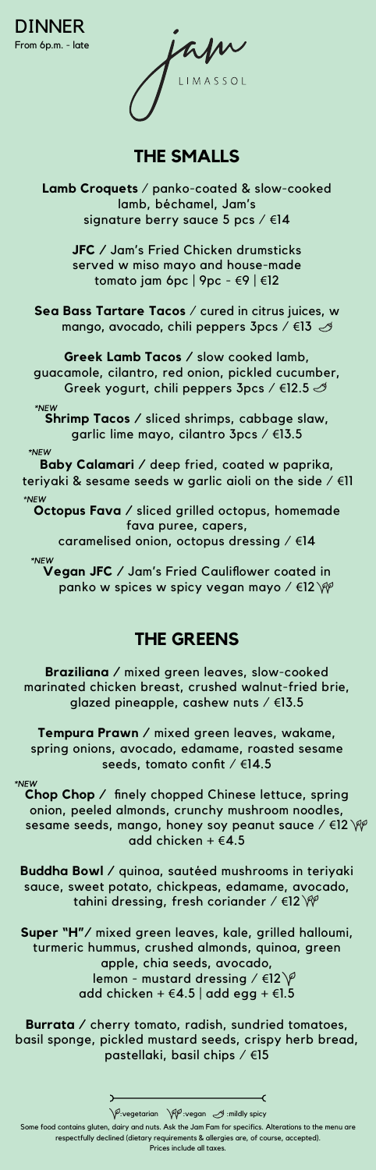From 6p.m. - late DINNER

W

# **THE SMALLS**

**Lamb Croquets** / panko-coated & slow-cooked lamb, béchamel, Jam's signature berry sauce 5 pcs / €14

> **JFC /** Jam's Fried Chicken drumsticks served w miso mayo and house-made tomato jam 6pc | 9pc - €9 | €12

**Sea Bass Tartare Tacos** / cured in citrus juices, w mango, avocado, chili peppers 3pcs / €13

**Greek Lamb Tacos /** slow cooked lamb, guacamole, cilantro, red onion, pickled cucumber, Greek yogurt, chili peppers 3pcs / €12.5

\*NEW **Shrimp Tacos /** sliced shrimps, cabbage slaw, garlic lime mayo, cilantro 3pcs / €13.5

\*NEW

**Baby Calamari /** deep fried, coated w paprika, teriyaki & sesame seeds w garlic aioli on the side / €11

**Octopus Fava /** sliced grilled octopus, homemade fava puree, capers, caramelised onion, octopus dressing / €14

\*NEW **Vegan JFC /** Jam's Fried Cauliflower coated in panko w spices w spicy vegan mayo / €12 \\

## **THE GREENS**

**Braziliana /** mixed green leaves, slow-cooked marinated chicken breast, crushed walnut-fried brie, glazed pineapple, cashew nuts / €13.5

**Tempura Prawn /** mixed green leaves, wakame, spring onions, avocado, edamame, roasted sesame seeds, tomato confit / €14.5

**Chop Chop /** finely chopped Chinese lettuce, spring onion, peeled almonds, crunchy mushroom noodles, sesame seeds, mango, honey soy peanut sauce /  $\in$ 12 add chicken + €4.5

**Buddha Bowl /** quinoa, sautéed mushrooms in teriyaki sauce, sweet potato, chickpeas, edamame, avocado, tahini dressing, fresh coriander /  $\in$ 12 $\mathcal W$ 

**Super "H"/** mixed green leaves, kale, grilled halloumi, turmeric hummus, crushed almonds, quinoa, green apple, chia seeds, avocado, lemon - mustard dressing /  $\in$ 12 $\sqrt{2}$ add chicken +  $\in$  4.5 | add egg +  $\in$ 1.5

**Burrata /** cherry tomato, radish, sundried tomatoes, basil sponge, pickled mustard seeds, crispy herb bread, pastellaki, basil chips / €15

 $\bigvee^{\rho}$ :vegetarian  $\bigvee^{\rho}$ ivegan  $\mathcal{A}$  :mildly spicy

Some food contains gluten, dairy and nuts. Ask the Jam Fam for specifics. Alterations to the menu are respectfully declined (dietary requirements & allergies are, of course, accepted).

Prices include all taxes.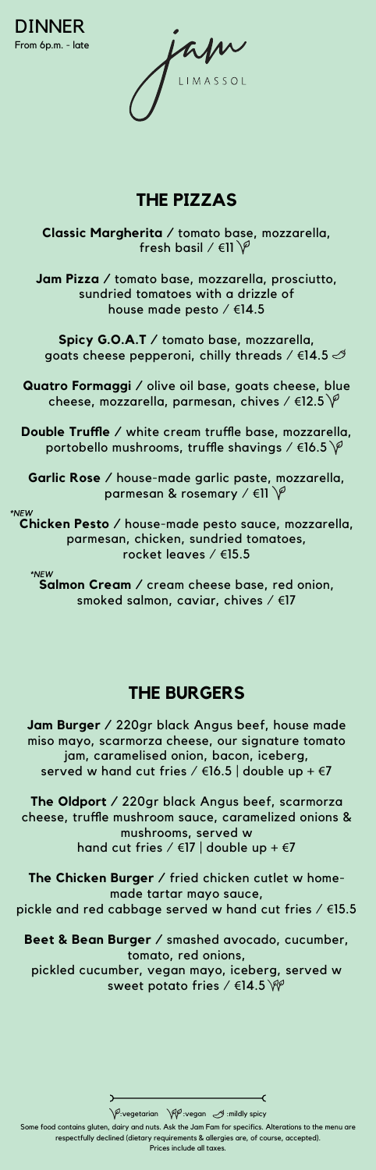From 6p.m. - late DINNER

apr

# **THE PIZZAS**

**Classic Margherita /** tomato base, mozzarella, fresh basil /  $\in$ 11 $\mathcal{V}$ 

**Jam Pizza /** tomato base, mozzarella, prosciutto, sundried tomatoes with a drizzle of house made pesto / €14.5

**Spicy G.O.A.T /** tomato base, mozzarella, goats cheese pepperoni, chilly threads /  $€14.5$   $\oslash$ 

**Quatro Formaggi /** olive oil base, goats cheese, blue cheese, mozzarella, parmesan, chives /  $\in$ 12.5  $\varphi$ 

**Double Truffle /** white cream truffle base, mozzarella, portobello mushrooms, truffle shavings /  $\in$ 16.5  $\varphi$ 

Garlic Rose / house-made garlic paste, mozzarella, parmesan & rosemary /  $\in$ 11  $\varphi$ 

**Chicken Pesto /** house-made pesto sauce, mozzarella, parmesan, chicken, sundried tomatoes, rocket leaves / €15.5

\*NEW **Salmon Cream /** cream cheese base, red onion, smoked salmon, caviar, chives / €17

#### **THE BURGERS**

**Jam Burger /** 220gr black Angus beef, house made miso mayo, scarmorza cheese, our signature tomato jam, caramelised onion, bacon, iceberg, served w hand cut fries /  $\in$ 16.5 | double up +  $\in$ 7

**The Oldport /** 220gr black Angus beef, scarmorza cheese, truffle mushroom sauce, caramelized onions & mushrooms, served w hand cut fries /  $\in$  17 | double up +  $\in$  7

**The Chicken Burger /** fried chicken cutlet w homemade tartar mayo sauce, pickle and red cabbage served w hand cut fries / €15.5

**Beet & Bean Burger /** smashed avocado, cucumber, tomato, red onions, pickled cucumber, vegan mayo, iceberg, served w

sweet potato fries / €14.5 \\

Some food contains gluten, dairy and nuts. Ask the Jam Fam for specifics. Alterations to the menu are respectfully declined (dietary requirements & allergies are, of course, accepted).

Prices include all taxes.

 $\sqrt{\varphi}$ :vegetarian  $\sqrt{\varphi \varphi}$  :vegan  $\mathcal{A}$  :mildly spicy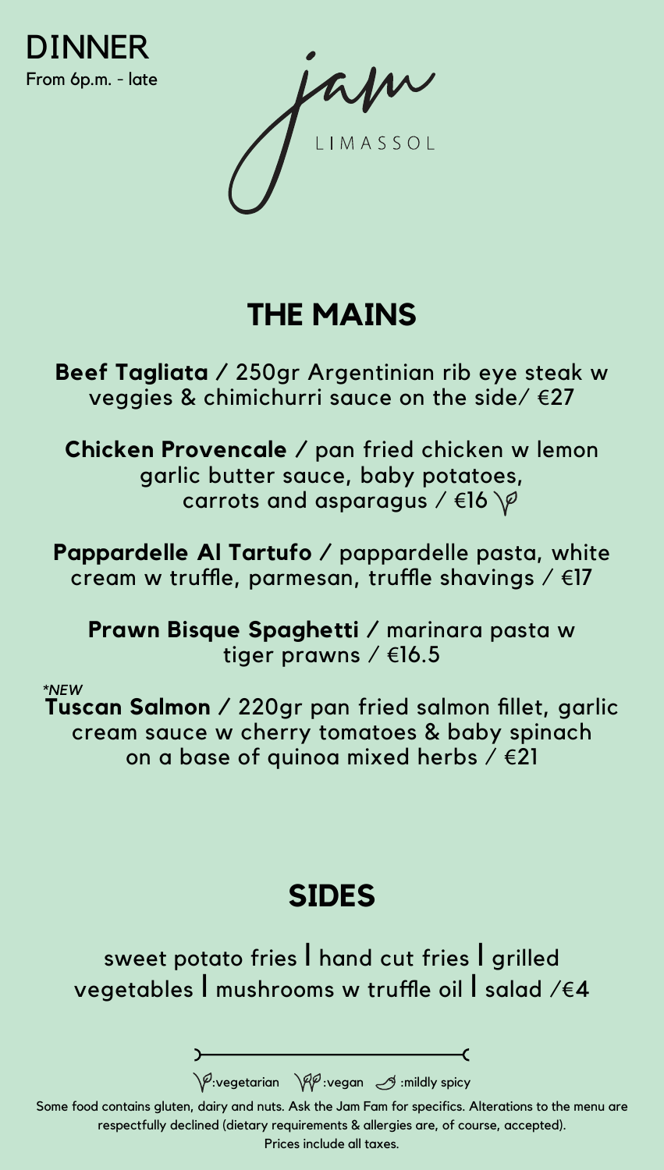

### **THE MAINS**

**Beef Tagliata /** 250gr Argentinian rib eye steak w veggies & chimichurri sauce on the side/ €27

**Chicken Provencale /** pan fried chicken w lemon garlic butter sauce, baby potatoes, carrots and asparagus /  $\in$ 16  $\varphi$ 

**Pappardelle Al Tartufo /** pappardelle pasta, white cream w truffle, parmesan, truffle shavings / €17

**Prawn Bisque Spaghetti /** marinara pasta w tiger prawns / €16.5

\*NEW

**Tuscan Salmon /** 220gr pan fried salmon fillet, garlic cream sauce w cherry tomatoes & baby spinach on a base of quinoa mixed herbs  $\ell \in \{21\}$ 

#### **SIDES**

sweet potato fries l hand cut fries l grilled vegetables l mushrooms w truffle oil l salad /€4

 $\sqrt{\varphi}$ :vegetarian  $\sqrt{\varphi\varphi}$ :vegan  $\varphi$  :mildly spicy

Some food contains gluten, dairy and nuts. Ask the Jam Fam for specifics. Alterations to the menu are respectfully declined (dietary requirements & allergies are, of course, accepted).

Prices include all taxes.